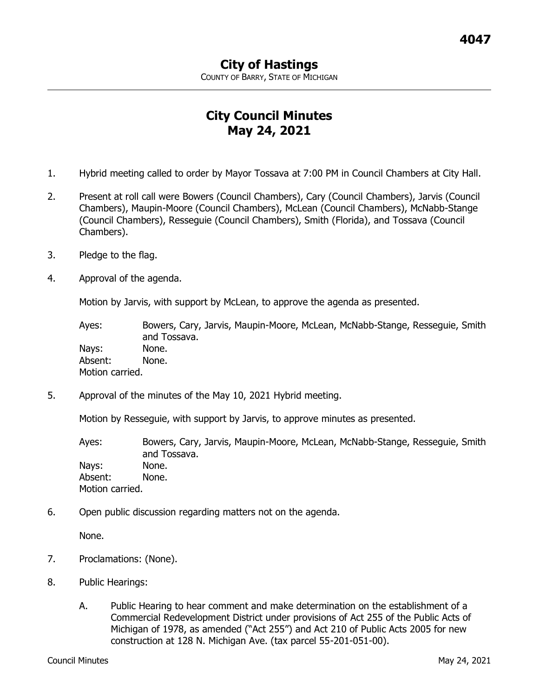COUNTY OF BARRY, STATE OF MICHIGAN

## **City Council Minutes May 24, 2021**

- 1. Hybrid meeting called to order by Mayor Tossava at 7:00 PM in Council Chambers at City Hall.
- 2. Present at roll call were Bowers (Council Chambers), Cary (Council Chambers), Jarvis (Council Chambers), Maupin-Moore (Council Chambers), McLean (Council Chambers), McNabb-Stange (Council Chambers), Resseguie (Council Chambers), Smith (Florida), and Tossava (Council Chambers).
- 3. Pledge to the flag.
- 4. Approval of the agenda.

Motion by Jarvis, with support by McLean, to approve the agenda as presented.

Ayes: Bowers, Cary, Jarvis, Maupin-Moore, McLean, McNabb-Stange, Resseguie, Smith and Tossava. Nays: None. Absent: None. Motion carried.

5. Approval of the minutes of the May 10, 2021 Hybrid meeting.

Motion by Resseguie, with support by Jarvis, to approve minutes as presented.

Ayes: Bowers, Cary, Jarvis, Maupin-Moore, McLean, McNabb-Stange, Resseguie, Smith and Tossava. Nays: None. Absent: None. Motion carried.

6. Open public discussion regarding matters not on the agenda.

None.

- 7. Proclamations: (None).
- 8. Public Hearings:
	- A. Public Hearing to hear comment and make determination on the establishment of a Commercial Redevelopment District under provisions of Act 255 of the Public Acts of Michigan of 1978, as amended ("Act 255") and Act 210 of Public Acts 2005 for new construction at 128 N. Michigan Ave. (tax parcel 55-201-051-00).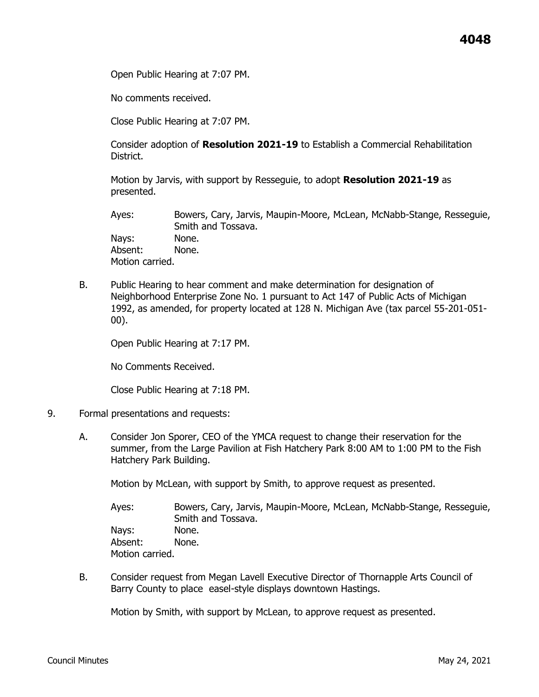Open Public Hearing at 7:07 PM.

No comments received.

Close Public Hearing at 7:07 PM.

Consider adoption of **Resolution 2021-19** to Establish a Commercial Rehabilitation District.

Motion by Jarvis, with support by Resseguie, to adopt **Resolution 2021-19** as presented.

Ayes: Bowers, Cary, Jarvis, Maupin-Moore, McLean, McNabb-Stange, Resseguie, Smith and Tossava. Nays: None. Absent: None. Motion carried.

B. Public Hearing to hear comment and make determination for designation of Neighborhood Enterprise Zone No. 1 pursuant to Act 147 of Public Acts of Michigan 1992, as amended, for property located at 128 N. Michigan Ave (tax parcel 55-201-051- 00).

Open Public Hearing at 7:17 PM.

No Comments Received.

Close Public Hearing at 7:18 PM.

- 9. Formal presentations and requests:
	- A. Consider Jon Sporer, CEO of the YMCA request to change their reservation for the summer, from the Large Pavilion at Fish Hatchery Park 8:00 AM to 1:00 PM to the Fish Hatchery Park Building.

Motion by McLean, with support by Smith, to approve request as presented.

Ayes: Bowers, Cary, Jarvis, Maupin-Moore, McLean, McNabb-Stange, Resseguie, Smith and Tossava. Nays: None. Absent: None. Motion carried.

B. Consider request from Megan Lavell Executive Director of Thornapple Arts Council of Barry County to place easel-style displays downtown Hastings.

Motion by Smith, with support by McLean, to approve request as presented.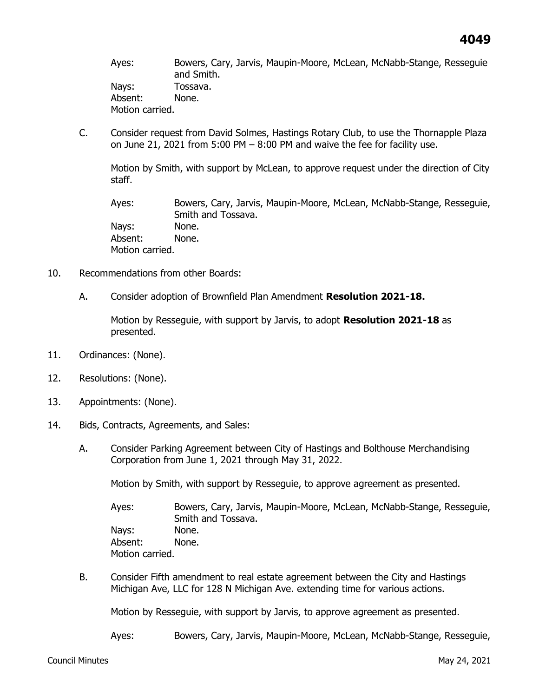Ayes: Bowers, Cary, Jarvis, Maupin-Moore, McLean, McNabb-Stange, Resseguie and Smith. Nays: Tossava. Absent: None. Motion carried.

C. Consider request from David Solmes, Hastings Rotary Club, to use the Thornapple Plaza on June 21, 2021 from  $5:00$  PM  $-$  8:00 PM and waive the fee for facility use.

Motion by Smith, with support by McLean, to approve request under the direction of City staff.

Ayes: Bowers, Cary, Jarvis, Maupin-Moore, McLean, McNabb-Stange, Resseguie, Smith and Tossava. Nays: None. Absent: None. Motion carried.

- 10. Recommendations from other Boards:
	- A. Consider adoption of Brownfield Plan Amendment **Resolution 2021-18.**

Motion by Resseguie, with support by Jarvis, to adopt **Resolution 2021-18** as presented.

- 11. Ordinances: (None).
- 12. Resolutions: (None).
- 13. Appointments: (None).
- 14. Bids, Contracts, Agreements, and Sales:
	- A. Consider Parking Agreement between City of Hastings and Bolthouse Merchandising Corporation from June 1, 2021 through May 31, 2022.

Motion by Smith, with support by Resseguie, to approve agreement as presented.

Ayes: Bowers, Cary, Jarvis, Maupin-Moore, McLean, McNabb-Stange, Resseguie, Smith and Tossava. Nays: None. Absent: None. Motion carried.

B. Consider Fifth amendment to real estate agreement between the City and Hastings Michigan Ave, LLC for 128 N Michigan Ave. extending time for various actions.

Motion by Resseguie, with support by Jarvis, to approve agreement as presented.

Ayes: Bowers, Cary, Jarvis, Maupin-Moore, McLean, McNabb-Stange, Resseguie,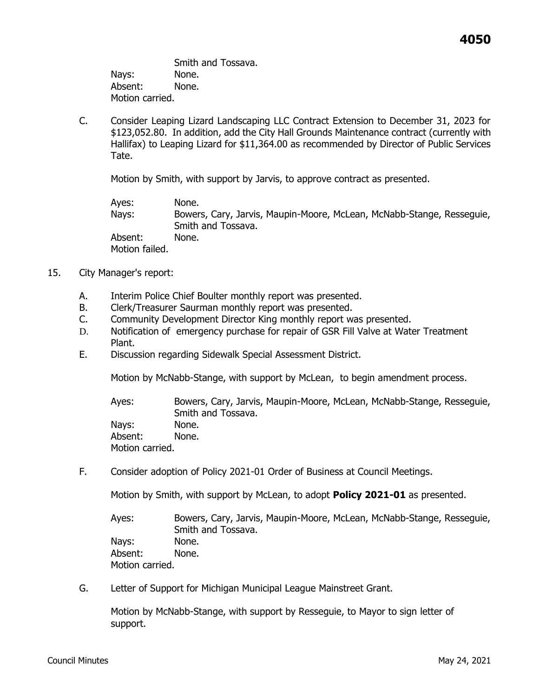Smith and Tossava. Nays: None. Absent: None. Motion carried.

C. Consider Leaping Lizard Landscaping LLC Contract Extension to December 31, 2023 for \$123,052.80. In addition, add the City Hall Grounds Maintenance contract (currently with Hallifax) to Leaping Lizard for \$11,364.00 as recommended by Director of Public Services Tate.

Motion by Smith, with support by Jarvis, to approve contract as presented.

Ayes: None. Nays: Bowers, Cary, Jarvis, Maupin-Moore, McLean, McNabb-Stange, Resseguie, Smith and Tossava. Absent: None. Motion failed.

- 15. City Manager's report:
	- A. Interim Police Chief Boulter monthly report was presented.
	- B. Clerk/Treasurer Saurman monthly report was presented.
	- C. Community Development Director King monthly report was presented.
	- D. Notification of emergency purchase for repair of GSR Fill Valve at Water Treatment Plant.
	- E. Discussion regarding Sidewalk Special Assessment District.

Motion by McNabb-Stange, with support by McLean, to begin amendment process.

Ayes: Bowers, Cary, Jarvis, Maupin-Moore, McLean, McNabb-Stange, Resseguie, Smith and Tossava. Nays: None. Absent: None. Motion carried.

F. Consider adoption of Policy 2021-01 Order of Business at Council Meetings.

Motion by Smith, with support by McLean, to adopt **Policy 2021-01** as presented.

Ayes: Bowers, Cary, Jarvis, Maupin-Moore, McLean, McNabb-Stange, Resseguie, Smith and Tossava. Nays: None. Absent: None. Motion carried.

G. Letter of Support for Michigan Municipal League Mainstreet Grant.

Motion by McNabb-Stange, with support by Resseguie, to Mayor to sign letter of support.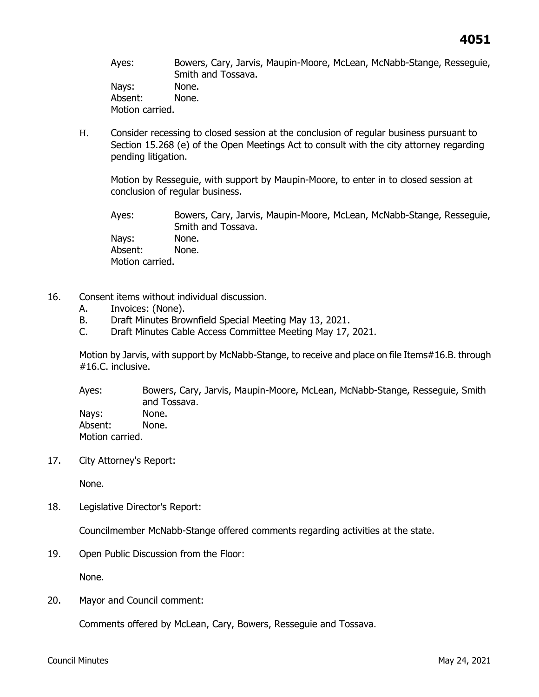Ayes: Bowers, Cary, Jarvis, Maupin-Moore, McLean, McNabb-Stange, Resseguie, Smith and Tossava. Nays: None. Absent: None. Motion carried.

H. Consider recessing to closed session at the conclusion of regular business pursuant to Section 15.268 (e) of the Open Meetings Act to consult with the city attorney regarding pending litigation.

Motion by Resseguie, with support by Maupin-Moore, to enter in to closed session at conclusion of regular business.

Ayes: Bowers, Cary, Jarvis, Maupin-Moore, McLean, McNabb-Stange, Resseguie, Smith and Tossava. Nays: None. Absent: None. Motion carried.

- 16. Consent items without individual discussion.
	- A. Invoices: (None).
	- B. Draft Minutes Brownfield Special Meeting May 13, 2021.
	- C. Draft Minutes Cable Access Committee Meeting May 17, 2021.

Motion by Jarvis, with support by McNabb-Stange, to receive and place on file Items#16.B. through #16.C. inclusive.

Ayes: Bowers, Cary, Jarvis, Maupin-Moore, McLean, McNabb-Stange, Resseguie, Smith and Tossava. Nays: None. Absent: None. Motion carried.

17. City Attorney's Report:

None.

18. Legislative Director's Report:

Councilmember McNabb-Stange offered comments regarding activities at the state.

19. Open Public Discussion from the Floor:

None.

20. Mayor and Council comment:

Comments offered by McLean, Cary, Bowers, Resseguie and Tossava.